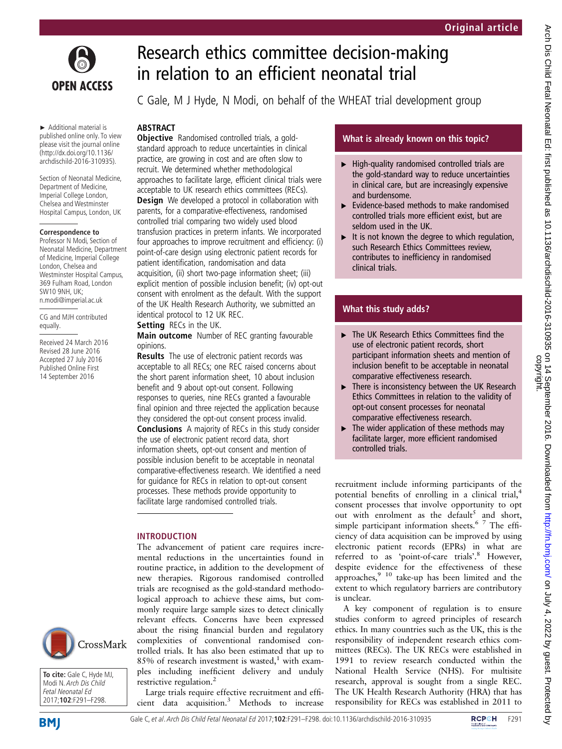

► Additional material is published online only. To view please visit the journal online (http://dx.doi.org/10.1136/ archdischild-2016-310935).

Section of Neonatal Medicine, Department of Medicine, Imperial College London, Chelsea and Westminster Hospital Campus, London, UK

#### **Correspondence to**

Professor N Modi, Section of Neonatal Medicine, Department of Medicine, Imperial College London, Chelsea and Westminster Hospital Campus, 369 Fulham Road, London SW10 9NH, UK; n.modi@imperial.ac.uk

CG and MJH contributed equally.

Received 24 March 2016 Revised 28 June 2016 Accepted 27 July 2016 Published Online First 14 September 2016





# Research ethics committee decision-making in relation to an efficient neonatal trial

C Gale, M J Hyde, N Modi, on behalf of the WHEAT trial development group

### ABSTRACT

Objective Randomised controlled trials, a goldstandard approach to reduce uncertainties in clinical practice, are growing in cost and are often slow to recruit. We determined whether methodological approaches to facilitate large, efficient clinical trials were acceptable to UK research ethics committees (RECs). **Design** We developed a protocol in collaboration with parents, for a comparative-effectiveness, randomised controlled trial comparing two widely used blood transfusion practices in preterm infants. We incorporated four approaches to improve recruitment and efficiency: (i) point-of-care design using electronic patient records for patient identification, randomisation and data acquisition, (ii) short two-page information sheet; (iii) explicit mention of possible inclusion benefit; (iv) opt-out consent with enrolment as the default. With the support of the UK Health Research Authority, we submitted an identical protocol to 12 UK REC.

## Setting RECs in the UK.

Main outcome Number of REC granting favourable opinions.

**Results** The use of electronic patient records was acceptable to all RECs; one REC raised concerns about the short parent information sheet, 10 about inclusion benefit and 9 about opt-out consent. Following responses to queries, nine RECs granted a favourable final opinion and three rejected the application because they considered the opt-out consent process invalid.

Conclusions A majority of RECs in this study consider the use of electronic patient record data, short information sheets, opt-out consent and mention of possible inclusion benefit to be acceptable in neonatal comparative-effectiveness research. We identified a need for guidance for RECs in relation to opt-out consent processes. These methods provide opportunity to facilitate large randomised controlled trials.

#### INTRODUCTION

The advancement of patient care requires incremental reductions in the uncertainties found in routine practice, in addition to the development of new therapies. Rigorous randomised controlled trials are recognised as the gold-standard methodological approach to achieve these aims, but commonly require large sample sizes to detect clinically relevant effects. Concerns have been expressed about the rising financial burden and regulatory complexities of conventional randomised controlled trials. It has also been estimated that up to 85% of research investment is wasted, $\frac{1}{1}$  with examples including inefficient delivery and unduly restrictive regulation.<sup>2</sup>

Large trials require effective recruitment and efficient data acquisition.<sup>3</sup> Methods to increase

## What is already known on this topic?

- $\blacktriangleright$  High-quality randomised controlled trials are the gold-standard way to reduce uncertainties in clinical care, but are increasingly expensive and burdensome.
- ▸ Evidence-based methods to make randomised controlled trials more efficient exist, but are seldom used in the UK.
- $\blacktriangleright$  It is not known the degree to which regulation, such Research Ethics Committees review, contributes to inefficiency in randomised clinical trials.

# What this study adds?

- ▸ The UK Research Ethics Committees find the use of electronic patient records, short participant information sheets and mention of inclusion benefit to be acceptable in neonatal comparative effectiveness research.
- $\blacktriangleright$  There is inconsistency between the UK Research Ethics Committees in relation to the validity of opt-out consent processes for neonatal comparative effectiveness research.
- $\blacktriangleright$  The wider application of these methods may facilitate larger, more efficient randomised controlled trials.

recruitment include informing participants of the potential benefits of enrolling in a clinical trial,<sup>4</sup> consent processes that involve opportunity to opt out with enrolment as the default<sup>5</sup> and short, simple participant information sheets.<sup>6 7</sup> The efficiency of data acquisition can be improved by using electronic patient records (EPRs) in what are referred to as 'point-of-care trials'. <sup>8</sup> However, despite evidence for the effectiveness of these approaches, $910$  take-up has been limited and the extent to which regulatory barriers are contributory is unclear.

A key component of regulation is to ensure studies conform to agreed principles of research ethics. In many countries such as the UK, this is the responsibility of independent research ethics committees (RECs). The UK RECs were established in 1991 to review research conducted within the National Health Service (NHS). For multisite research, approval is sought from a single REC. The UK Health Research Authority (HRA) that has responsibility for RECs was established in 2011 to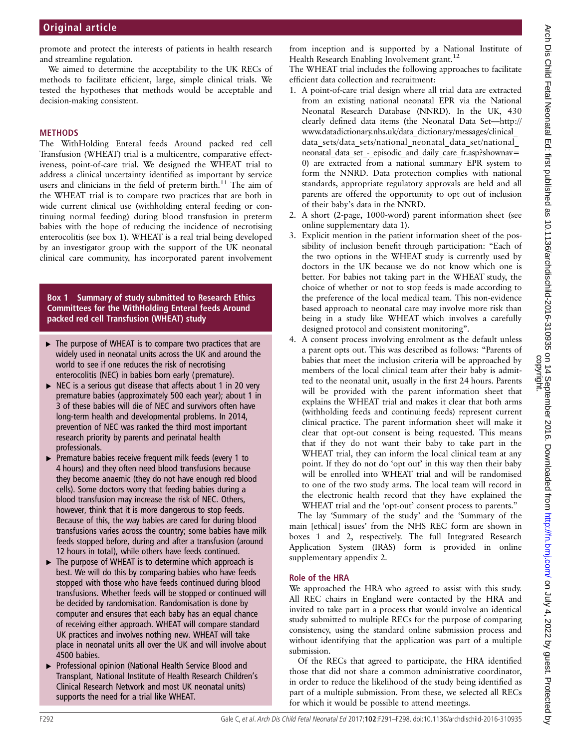promote and protect the interests of patients in health research and streamline regulation.

We aimed to determine the acceptability to the UK RECs of methods to facilitate efficient, large, simple clinical trials. We tested the hypotheses that methods would be acceptable and decision-making consistent.

#### **METHODS**

The WithHolding Enteral feeds Around packed red cell Transfusion (WHEAT) trial is a multicentre, comparative effectiveness, point-of-care trial. We designed the WHEAT trial to address a clinical uncertainty identified as important by service users and clinicians in the field of preterm birth.<sup>11</sup> The aim of the WHEAT trial is to compare two practices that are both in wide current clinical use (withholding enteral feeding or continuing normal feeding) during blood transfusion in preterm babies with the hope of reducing the incidence of necrotising enterocolitis (see box 1). WHEAT is a real trial being developed by an investigator group with the support of the UK neonatal clinical care community, has incorporated parent involvement

Box 1 Summary of study submitted to Research Ethics Committees for the WithHolding Enteral feeds Around packed red cell Transfusion (WHEAT) study

- ▶ The purpose of WHEAT is to compare two practices that are widely used in neonatal units across the UK and around the world to see if one reduces the risk of necrotising enterocolitis (NEC) in babies born early (premature).
- $\triangleright$  NEC is a serious gut disease that affects about 1 in 20 very premature babies (approximately 500 each year); about 1 in 3 of these babies will die of NEC and survivors often have long-term health and developmental problems. In 2014, prevention of NEC was ranked the third most important research priority by parents and perinatal health professionals.
- ▸ Premature babies receive frequent milk feeds (every 1 to 4 hours) and they often need blood transfusions because they become anaemic (they do not have enough red blood cells). Some doctors worry that feeding babies during a blood transfusion may increase the risk of NEC. Others, however, think that it is more dangerous to stop feeds. Because of this, the way babies are cared for during blood transfusions varies across the country; some babies have milk feeds stopped before, during and after a transfusion (around 12 hours in total), while others have feeds continued.
- $\blacktriangleright$  The purpose of WHEAT is to determine which approach is best. We will do this by comparing babies who have feeds stopped with those who have feeds continued during blood transfusions. Whether feeds will be stopped or continued will be decided by randomisation. Randomisation is done by computer and ensures that each baby has an equal chance of receiving either approach. WHEAT will compare standard UK practices and involves nothing new. WHEAT will take place in neonatal units all over the UK and will involve about 4500 babies.
- ▸ Professional opinion (National Health Service Blood and Transplant, National Institute of Health Research Children's Clinical Research Network and most UK neonatal units) supports the need for a trial like WHEAT.

from inception and is supported by a National Institute of Health Research Enabling Involvement grant.<sup>12</sup>

The WHEAT trial includes the following approaches to facilitate efficient data collection and recruitment:

- 1. A point-of-care trial design where all trial data are extracted from an existing national neonatal EPR via the National Neonatal Research Database (NNRD). In the UK, 430 clearly defined data items (the Neonatal Data Set—[http://](http://dx.doi.org/10.1136/archdischild-2016-310935) [www.datadictionary.nhs.uk/data\\_dictionary/messages/clinical\\_](http://dx.doi.org/10.1136/archdischild-2016-310935) data\_sets/data\_sets/national\_neonatal\_data\_set/national neonatal data set - episodic and daily care fr.asp?shownav= [0\)](http://dx.doi.org/10.1136/archdischild-2016-310935) are extracted from a national summary EPR system to form the NNRD. Data protection complies with national standards, appropriate regulatory approvals are held and all parents are offered the opportunity to opt out of inclusion of their baby's data in the NNRD.
- 2. A short (2-page, 1000-word) parent information sheet (see online supplementary data 1).
- 3. Explicit mention in the patient information sheet of the possibility of inclusion benefit through participation: "Each of the two options in the WHEAT study is currently used by doctors in the UK because we do not know which one is better. For babies not taking part in the WHEAT study, the choice of whether or not to stop feeds is made according to the preference of the local medical team. This non-evidence based approach to neonatal care may involve more risk than being in a study like WHEAT which involves a carefully designed protocol and consistent monitoring".
- 4. A consent process involving enrolment as the default unless a parent opts out. This was described as follows: "Parents of babies that meet the inclusion criteria will be approached by members of the local clinical team after their baby is admitted to the neonatal unit, usually in the first 24 hours. Parents will be provided with the parent information sheet that explains the WHEAT trial and makes it clear that both arms (withholding feeds and continuing feeds) represent current clinical practice. The parent information sheet will make it clear that opt-out consent is being requested. This means that if they do not want their baby to take part in the WHEAT trial, they can inform the local clinical team at any point. If they do not do 'opt out' in this way then their baby will be enrolled into WHEAT trial and will be randomised to one of the two study arms. The local team will record in the electronic health record that they have explained the WHEAT trial and the 'opt-out' consent process to parents."

The lay 'Summary of the study' and the 'Summary of the main [ethical] issues' from the NHS REC form are shown in boxes 1 and 2, respectively. The full Integrated Research Application System (IRAS) form is provided in online [supplementary appendix](http://dx.doi.org/10.1136/archdischild-2016-310935) 2.

#### Role of the HRA

We approached the HRA who agreed to assist with this study. All REC chairs in England were contacted by the HRA and invited to take part in a process that would involve an identical study submitted to multiple RECs for the purpose of comparing consistency, using the standard online submission process and without identifying that the application was part of a multiple submission.

Of the RECs that agreed to participate, the HRA identified those that did not share a common administrative coordinator, in order to reduce the likelihood of the study being identified as part of a multiple submission. From these, we selected all RECs for which it would be possible to attend meetings.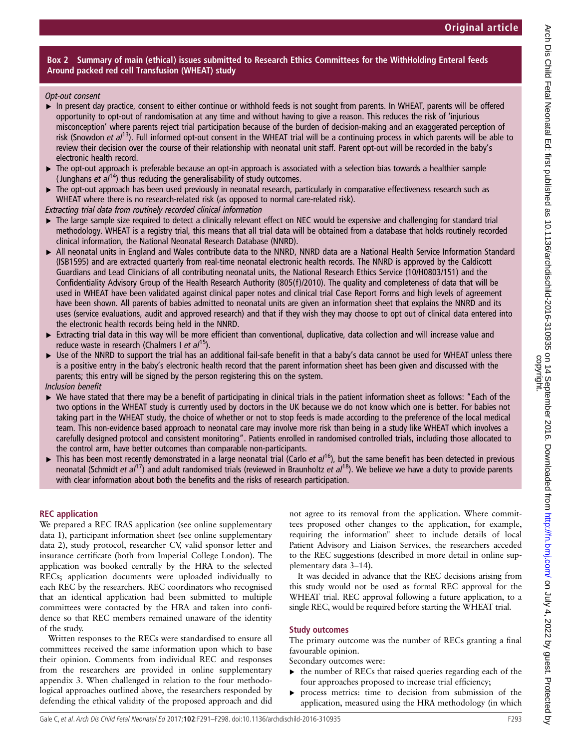## Box 2 Summary of main (ethical) issues submitted to Research Ethics Committees for the WithHolding Enteral feeds Around packed red cell Transfusion (WHEAT) study

#### Opt-out consent

- ▸ In present day practice, consent to either continue or withhold feeds is not sought from parents. In WHEAT, parents will be offered opportunity to opt-out of randomisation at any time and without having to give a reason. This reduces the risk of 'injurious misconception' where parents reject trial participation because of the burden of decision-making and an exaggerated perception of risk (Snowdon et  $a^{13}$ ). Full informed opt-out consent in the WHEAT trial will be a continuing process in which parents will be able to review their decision over the course of their relationship with neonatal unit staff. Parent opt-out will be recorded in the baby's electronic health record.
- ▶ The opt-out approach is preferable because an opt-in approach is associated with a selection bias towards a healthier sample ( Junghans et  $a^{14}$ ) thus reducing the generalisability of study outcomes.
- ▸ The opt-out approach has been used previously in neonatal research, particularly in comparative effectiveness research such as WHEAT where there is no research-related risk (as opposed to normal care-related risk).

Extracting trial data from routinely recorded clinical information

- ► The large sample size required to detect a clinically relevant effect on NEC would be expensive and challenging for standard trial methodology. WHEAT is a registry trial, this means that all trial data will be obtained from a database that holds routinely recorded clinical information, the National Neonatal Research Database (NNRD).
- ▶ All neonatal units in England and Wales contribute data to the NNRD, NNRD data are a National Health Service Information Standard (ISB1595) and are extracted quarterly from real-time neonatal electronic health records. The NNRD is approved by the Caldicott Guardians and Lead Clinicians of all contributing neonatal units, the National Research Ethics Service (10/H0803/151) and the Confidentiality Advisory Group of the Health Research Authority (805(f)/2010). The quality and completeness of data that will be used in WHEAT have been validated against clinical paper notes and clinical trial Case Report Forms and high levels of agreement have been shown. All parents of babies admitted to neonatal units are given an information sheet that explains the NNRD and its uses (service evaluations, audit and approved research) and that if they wish they may choose to opt out of clinical data entered into the electronic health records being held in the NNRD.
- ► Extracting trial data in this way will be more efficient than conventional, duplicative, data collection and will increase value and reduce waste in research (Chalmers I et  $aI^{15}$ ).
- ▶ Use of the NNRD to support the trial has an additional fail-safe benefit in that a baby's data cannot be used for WHEAT unless there is a positive entry in the baby's electronic health record that the parent information sheet has been given and discussed with the parents; this entry will be signed by the person registering this on the system.

Inclusion benefit

- We have stated that there may be a benefit of participating in clinical trials in the patient information sheet as follows: "Each of the two options in the WHEAT study is currently used by doctors in the UK because we do not know which one is better. For babies not taking part in the WHEAT study, the choice of whether or not to stop feeds is made according to the preference of the local medical team. This non-evidence based approach to neonatal care may involve more risk than being in a study like WHEAT which involves a carefully designed protocol and consistent monitoring". Patients enrolled in randomised controlled trials, including those allocated to the control arm, have better outcomes than comparable non-participants.
- This has been most recently demonstrated in a large neonatal trial (Carlo et  $a^{16}$ ), but the same benefit has been detected in previous neonatal (Schmidt et  $a^{17}$ ) and adult randomised trials (reviewed in Braunholtz et  $a^{18}$ ). We believe we have a duty to provide parents with clear information about both the benefits and the risks of research participation.

#### REC application

We prepared a REC IRAS application (see online supplementary data 1), participant information sheet (see online supplementary data 2), study protocol, researcher CV, valid sponsor letter and insurance certificate (both from Imperial College London). The application was booked centrally by the HRA to the selected RECs; application documents were uploaded individually to each REC by the researchers. REC coordinators who recognised that an identical application had been submitted to multiple committees were contacted by the HRA and taken into confidence so that REC members remained unaware of the identity of the study.

Written responses to the RECs were standardised to ensure all committees received the same information upon which to base their opinion. Comments from individual REC and responses from the researchers are provided in online supplementary appendix 3. When challenged in relation to the four methodological approaches outlined above, the researchers responded by defending the ethical validity of the proposed approach and did not agree to its removal from the application. Where committees proposed other changes to the application, for example, requiring the information" sheet to include details of local Patient Advisory and Liaison Services, the researchers acceded to the REC suggestions (described in more detail in online supplementary data 3–14).

It was decided in advance that the REC decisions arising from this study would not be used as formal REC approval for the WHEAT trial. REC approval following a future application, to a single REC, would be required before starting the WHEAT trial.

#### Study outcomes

The primary outcome was the number of RECs granting a final favourable opinion.

Secondary outcomes were:

- ▸ the number of RECs that raised queries regarding each of the four approaches proposed to increase trial efficiency;
- ▸ process metrics: time to decision from submission of the application, measured using the HRA methodology (in which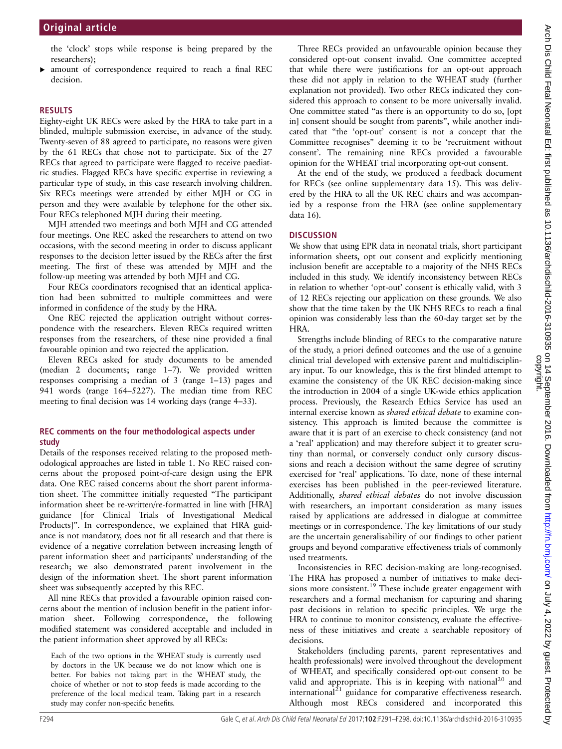the 'clock' stops while response is being prepared by the researchers);

amount of correspondence required to reach a final REC decision.

#### RESULTS

Eighty-eight UK RECs were asked by the HRA to take part in a blinded, multiple submission exercise, in advance of the study. Twenty-seven of 88 agreed to participate, no reasons were given by the 61 RECs that chose not to participate. Six of the 27 RECs that agreed to participate were flagged to receive paediatric studies. Flagged RECs have specific expertise in reviewing a particular type of study, in this case research involving children. Six RECs meetings were attended by either MJH or CG in person and they were available by telephone for the other six. Four RECs telephoned MJH during their meeting.

MJH attended two meetings and both MJH and CG attended four meetings. One REC asked the researchers to attend on two occasions, with the second meeting in order to discuss applicant responses to the decision letter issued by the RECs after the first meeting. The first of these was attended by MJH and the follow-up meeting was attended by both MJH and CG.

Four RECs coordinators recognised that an identical application had been submitted to multiple committees and were informed in confidence of the study by the HRA.

One REC rejected the application outright without correspondence with the researchers. Eleven RECs required written responses from the researchers, of these nine provided a final favourable opinion and two rejected the application.

Eleven RECs asked for study documents to be amended (median 2 documents; range 1–7). We provided written responses comprising a median of 3 (range 1–13) pages and 941 words (range 164–5227). The median time from REC meeting to final decision was 14 working days (range 4–33).

#### REC comments on the four methodological aspects under study

Details of the responses received relating to the proposed methodological approaches are listed in table 1. No REC raised concerns about the proposed point-of-care design using the EPR data. One REC raised concerns about the short parent information sheet. The committee initially requested "The participant information sheet be re-written/re-formatted in line with [HRA] guidance [for Clinical Trials of Investigational Medical Products]". In correspondence, we explained that HRA guidance is not mandatory, does not fit all research and that there is evidence of a negative correlation between increasing length of parent information sheet and participants' understanding of the research; we also demonstrated parent involvement in the design of the information sheet. The short parent information sheet was subsequently accepted by this REC.

All nine RECs that provided a favourable opinion raised concerns about the mention of inclusion benefit in the patient information sheet. Following correspondence, the following modified statement was considered acceptable and included in the patient information sheet approved by all RECs:

Each of the two options in the WHEAT study is currently used by doctors in the UK because we do not know which one is better. For babies not taking part in the WHEAT study, the choice of whether or not to stop feeds is made according to the preference of the local medical team. Taking part in a research study may confer non-specific benefits.

Three RECs provided an unfavourable opinion because they considered opt-out consent invalid. One committee accepted that while there were justifications for an opt-out approach these did not apply in relation to the WHEAT study (further explanation not provided). Two other RECs indicated they considered this approach to consent to be more universally invalid. One committee stated "as there is an opportunity to do so, [opt in] consent should be sought from parents", while another indicated that "the 'opt-out' consent is not a concept that the Committee recognises" deeming it to be 'recruitment without consent'. The remaining nine RECs provided a favourable opinion for the WHEAT trial incorporating opt-out consent.

At the end of the study, we produced a feedback document for RECs (see online supplementary data 15). This was delivered by the HRA to all the UK REC chairs and was accompanied by a response from the HRA (see online supplementary data 16).

### **DISCUSSION**

We show that using EPR data in neonatal trials, short participant information sheets, opt out consent and explicitly mentioning inclusion benefit are acceptable to a majority of the NHS RECs included in this study. We identify inconsistency between RECs in relation to whether 'opt-out' consent is ethically valid, with 3 of 12 RECs rejecting our application on these grounds. We also show that the time taken by the UK NHS RECs to reach a final opinion was considerably less than the 60-day target set by the HRA.

Strengths include blinding of RECs to the comparative nature of the study, a priori defined outcomes and the use of a genuine clinical trial developed with extensive parent and multidisciplinary input. To our knowledge, this is the first blinded attempt to examine the consistency of the UK REC decision-making since the introduction in 2004 of a single UK-wide ethics application process. Previously, the Research Ethics Service has used an internal exercise known as shared ethical debate to examine consistency. This approach is limited because the committee is aware that it is part of an exercise to check consistency (and not a 'real' application) and may therefore subject it to greater scrutiny than normal, or conversely conduct only cursory discussions and reach a decision without the same degree of scrutiny exercised for 'real' applications. To date, none of these internal exercises has been published in the peer-reviewed literature. Additionally, shared ethical debates do not involve discussion with researchers, an important consideration as many issues raised by applications are addressed in dialogue at committee meetings or in correspondence. The key limitations of our study are the uncertain generalisability of our findings to other patient groups and beyond comparative effectiveness trials of commonly used treatments.

Inconsistencies in REC decision-making are long-recognised. The HRA has proposed a number of initiatives to make decisions more consistent.<sup>19</sup> These include greater engagement with researchers and a formal mechanism for capturing and sharing past decisions in relation to specific principles. We urge the HRA to continue to monitor consistency, evaluate the effectiveness of these initiatives and create a searchable repository of decisions.

Stakeholders (including parents, parent representatives and health professionals) were involved throughout the development of WHEAT, and specifically considered opt-out consent to be valid and appropriate. This is in keeping with national<sup>20</sup> and international $2<sup>1</sup>$  guidance for comparative effectiveness research. Although most RECs considered and incorporated this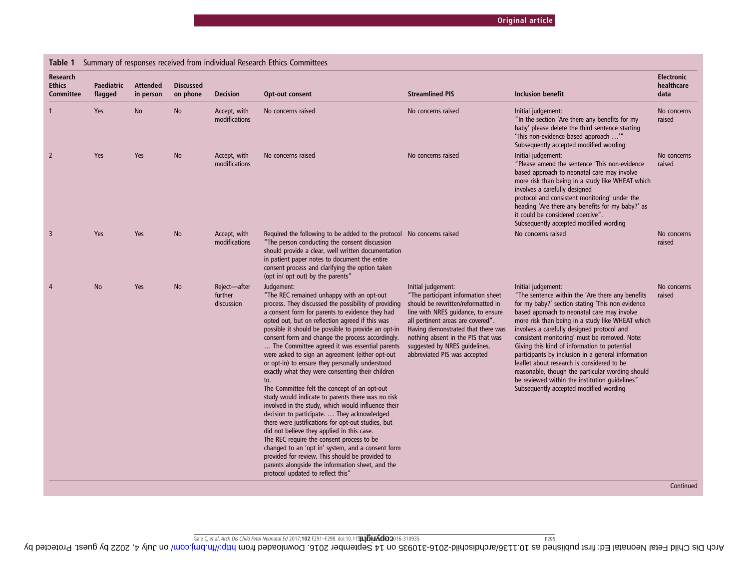#### Table 1 Summary of responses received from individual Research Ethics Committees

| <b>Research</b><br><b>Ethics</b><br><b>Committee</b> | <b>Paediatric</b><br>flagged | <b>Attended</b><br>in person | <b>Discussed</b><br>on phone | <b>Decision</b>                       | Opt-out consent                                                                                                                                                                                                                                                                                                                                                                                                                                                                                                                                                                                                                                                                                                                                                                                                                                                                                                                                                                                                                                                                                                | <b>Streamlined PIS</b>                                                                                                                                                                                                                                                                                                 | <b>Inclusion benefit</b>                                                                                                                                                                                                                                                                                                                                                                                                                                                                                                                                                                                                         | <b>Electronic</b><br>healthcare<br>data |
|------------------------------------------------------|------------------------------|------------------------------|------------------------------|---------------------------------------|----------------------------------------------------------------------------------------------------------------------------------------------------------------------------------------------------------------------------------------------------------------------------------------------------------------------------------------------------------------------------------------------------------------------------------------------------------------------------------------------------------------------------------------------------------------------------------------------------------------------------------------------------------------------------------------------------------------------------------------------------------------------------------------------------------------------------------------------------------------------------------------------------------------------------------------------------------------------------------------------------------------------------------------------------------------------------------------------------------------|------------------------------------------------------------------------------------------------------------------------------------------------------------------------------------------------------------------------------------------------------------------------------------------------------------------------|----------------------------------------------------------------------------------------------------------------------------------------------------------------------------------------------------------------------------------------------------------------------------------------------------------------------------------------------------------------------------------------------------------------------------------------------------------------------------------------------------------------------------------------------------------------------------------------------------------------------------------|-----------------------------------------|
|                                                      | Yes                          | <b>No</b>                    | <b>No</b>                    | Accept, with<br>modifications         | No concerns raised                                                                                                                                                                                                                                                                                                                                                                                                                                                                                                                                                                                                                                                                                                                                                                                                                                                                                                                                                                                                                                                                                             | No concerns raised                                                                                                                                                                                                                                                                                                     | Initial judgement:<br>"In the section 'Are there any benefits for my<br>baby' please delete the third sentence starting<br>'This non-evidence based approach '"<br>Subsequently accepted modified wording                                                                                                                                                                                                                                                                                                                                                                                                                        | No concerns<br>raised                   |
| $\overline{2}$                                       | Yes                          | Yes                          | <b>No</b>                    | Accept, with<br>modifications         | No concerns raised                                                                                                                                                                                                                                                                                                                                                                                                                                                                                                                                                                                                                                                                                                                                                                                                                                                                                                                                                                                                                                                                                             | No concerns raised                                                                                                                                                                                                                                                                                                     | Initial judgement:<br>"Please amend the sentence 'This non-evidence<br>based approach to neonatal care may involve<br>more risk than being in a study like WHEAT which<br>involves a carefully designed<br>protocol and consistent monitoring' under the<br>heading 'Are there any benefits for my baby?' as<br>it could be considered coercive".<br>Subsequently accepted modified wording                                                                                                                                                                                                                                      | No concerns<br>raised                   |
| 3                                                    | Yes                          | Yes                          | <b>No</b>                    | Accept, with<br>modifications         | Required the following to be added to the protocol No concerns raised<br>"The person conducting the consent discussion<br>should provide a clear, well written documentation<br>in patient paper notes to document the entire<br>consent process and clarifying the option taken<br>(opt in/ opt out) by the parents"                                                                                                                                                                                                                                                                                                                                                                                                                                                                                                                                                                                                                                                                                                                                                                                          |                                                                                                                                                                                                                                                                                                                        | No concerns raised                                                                                                                                                                                                                                                                                                                                                                                                                                                                                                                                                                                                               | No concerns<br>raised                   |
| $\overline{4}$                                       | <b>No</b>                    | Yes                          | <b>No</b>                    | Reject-after<br>further<br>discussion | Judgement:<br>"The REC remained unhappy with an opt-out<br>process. They discussed the possibility of providing<br>a consent form for parents to evidence they had<br>opted out, but on reflection agreed if this was<br>possible it should be possible to provide an opt-in<br>consent form and change the process accordingly.<br>The Committee agreed it was essential parents<br>were asked to sign an agreement (either opt-out<br>or opt-in) to ensure they personally understood<br>exactly what they were consenting their children<br>to.<br>The Committee felt the concept of an opt-out<br>study would indicate to parents there was no risk<br>involved in the study, which would influence their<br>decision to participate.  They acknowledged<br>there were justifications for opt-out studies, but<br>did not believe they applied in this case.<br>The REC require the consent process to be<br>changed to an 'opt in' system, and a consent form<br>provided for review. This should be provided to<br>parents alongside the information sheet, and the<br>protocol updated to reflect this" | Initial judgement:<br>"The participant information sheet<br>should be rewritten/reformatted in<br>line with NRES quidance, to ensure<br>all pertinent areas are covered".<br>Having demonstrated that there was<br>nothing absent in the PIS that was<br>suggested by NRES guidelines,<br>abbreviated PIS was accepted | Initial judgement:<br>"The sentence within the 'Are there any benefits<br>for my baby?' section stating 'This non evidence<br>based approach to neonatal care may involve<br>more risk than being in a study like WHEAT which<br>involves a carefully designed protocol and<br>consistent monitoring' must be removed. Note:<br>Giving this kind of information to potential<br>participants by inclusion in a general information<br>leaflet about research is considered to be<br>reasonable, though the particular wording should<br>be reviewed within the institution quidelines"<br>Subsequently accepted modified wording | No concerns<br>raised                   |
|                                                      |                              |                              |                              |                                       |                                                                                                                                                                                                                                                                                                                                                                                                                                                                                                                                                                                                                                                                                                                                                                                                                                                                                                                                                                                                                                                                                                                |                                                                                                                                                                                                                                                                                                                        |                                                                                                                                                                                                                                                                                                                                                                                                                                                                                                                                                                                                                                  | Continued                               |

Gale C, *et al. Arch Dis Child Fetal Neonatal Ed* 2017;**102**:F291–F298. doi:10.113**40/and/adio:0**016-310935 F295

Arch Dis Chile Hets by guest. De septed as 10.1136/arch Dis Child-September 2016. Downloaded from the Arch Dis Child Arche Protected by guest. Published as 10.13-archdischild-2016-3109 on 14 September 2018 on 14 September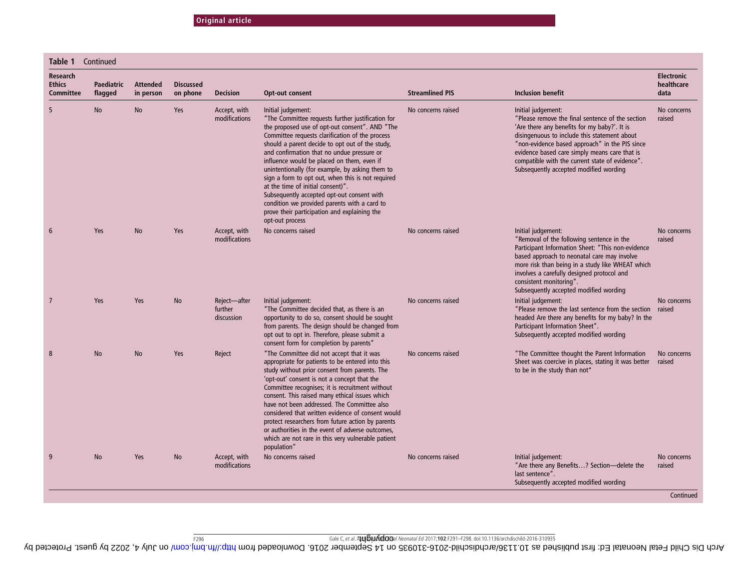**Original article**

| Table 1                                              | Continued             |                              |                              |                                       |                                                                                                                                                                                                                                                                                                                                                                                                                                                                                                                                                                                                                                           |                        |                                                                                                                                                                                                                                                                                                                                                                        |                                         |
|------------------------------------------------------|-----------------------|------------------------------|------------------------------|---------------------------------------|-------------------------------------------------------------------------------------------------------------------------------------------------------------------------------------------------------------------------------------------------------------------------------------------------------------------------------------------------------------------------------------------------------------------------------------------------------------------------------------------------------------------------------------------------------------------------------------------------------------------------------------------|------------------------|------------------------------------------------------------------------------------------------------------------------------------------------------------------------------------------------------------------------------------------------------------------------------------------------------------------------------------------------------------------------|-----------------------------------------|
| <b>Research</b><br><b>Ethics</b><br><b>Committee</b> | Paediatric<br>flagged | <b>Attended</b><br>in person | <b>Discussed</b><br>on phone | <b>Decision</b>                       | Opt-out consent                                                                                                                                                                                                                                                                                                                                                                                                                                                                                                                                                                                                                           | <b>Streamlined PIS</b> | <b>Inclusion benefit</b>                                                                                                                                                                                                                                                                                                                                               | <b>Electronic</b><br>healthcare<br>data |
| 5                                                    | No                    | <b>No</b>                    | Yes                          | Accept, with<br>modifications         | Initial judgement:<br>"The Committee requests further justification for<br>the proposed use of opt-out consent". AND "The<br>Committee requests clarification of the process<br>should a parent decide to opt out of the study,<br>and confirmation that no undue pressure or<br>influence would be placed on them, even if<br>unintentionally (for example, by asking them to<br>sign a form to opt out, when this is not required<br>at the time of initial consent)".<br>Subsequently accepted opt-out consent with<br>condition we provided parents with a card to<br>prove their participation and explaining the<br>opt-out process | No concerns raised     | Initial judgement:<br>"Please remove the final sentence of the section<br>'Are there any benefits for my baby?'. It is<br>disingenuous to include this statement about<br>"non-evidence based approach" in the PIS since<br>evidence based care simply means care that is<br>compatible with the current state of evidence".<br>Subsequently accepted modified wording | No concerns<br>raised                   |
| 6                                                    | Yes                   | <b>No</b>                    | <b>Yes</b>                   | Accept, with<br>modifications         | No concerns raised                                                                                                                                                                                                                                                                                                                                                                                                                                                                                                                                                                                                                        | No concerns raised     | Initial judgement:<br>"Removal of the following sentence in the<br>Participant Information Sheet: "This non-evidence<br>based approach to neonatal care may involve<br>more risk than being in a study like WHEAT which<br>involves a carefully designed protocol and<br>consistent monitoring".<br>Subsequently accepted modified wording                             | No concerns<br>raised                   |
| $\overline{7}$                                       | Yes                   | Yes                          | <b>No</b>                    | Reject-after<br>further<br>discussion | Initial judgement:<br>"The Committee decided that, as there is an<br>opportunity to do so, consent should be sought<br>from parents. The design should be changed from<br>opt out to opt in. Therefore, please submit a<br>consent form for completion by parents"                                                                                                                                                                                                                                                                                                                                                                        | No concerns raised     | Initial judgement:<br>"Please remove the last sentence from the section raised<br>headed Are there any benefits for my baby? In the<br>Participant Information Sheet".<br>Subsequently accepted modified wording                                                                                                                                                       | No concerns                             |
| 8                                                    | <b>No</b>             | <b>No</b>                    | Yes                          | Reject                                | "The Committee did not accept that it was<br>appropriate for patients to be entered into this<br>study without prior consent from parents. The<br>'opt-out' consent is not a concept that the<br>Committee recognises; it is recruitment without<br>consent. This raised many ethical issues which<br>have not been addressed. The Committee also<br>considered that written evidence of consent would<br>protect researchers from future action by parents<br>or authorities in the event of adverse outcomes,<br>which are not rare in this very vulnerable patient<br>population"                                                      | No concerns raised     | "The Committee thought the Parent Information<br>Sheet was coercive in places, stating it was better<br>to be in the study than not"                                                                                                                                                                                                                                   | No concerns<br>raised                   |
| 9                                                    | <b>No</b>             | Yes                          | <b>No</b>                    | Accept, with<br>modifications         | No concerns raised                                                                                                                                                                                                                                                                                                                                                                                                                                                                                                                                                                                                                        | No concerns raised     | Initial judgement:<br>"Are there any Benefits? Section—delete the<br>last sentence".<br>Subsequently accepted modified wording                                                                                                                                                                                                                                         | No concerns<br>raised                   |
|                                                      |                       |                              |                              |                                       |                                                                                                                                                                                                                                                                                                                                                                                                                                                                                                                                                                                                                                           |                        |                                                                                                                                                                                                                                                                                                                                                                        | Continued                               |

F296 **Gale C**, et al. **Arth Dislay Cond** Neonatal Ed 2017;**102**:F291–F298. doi:10.1136/archdischild-2016-310935

Arch Dis Chile Hets by guest. De septed as 10.1136/arch Dis Child-September 2016. Downloaded from the Arch Dis Child Arche Protected by guest. Published as 10.13-archdischild-2016-3109 on 14 September 2018 on 14 September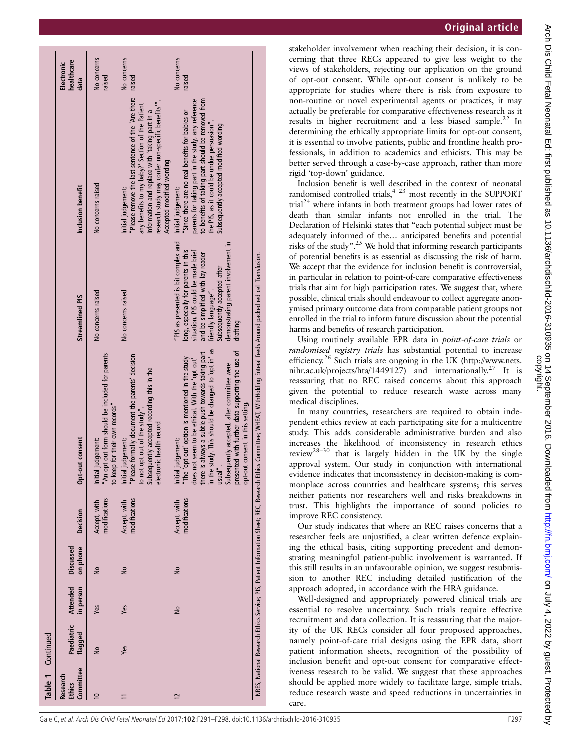|                   | healthcare<br>Electronic<br>data<br><b>Inclusion benefit</b> | No concerns<br>raised<br>No concerns raised                                                             | No concerns<br>raised<br>Please remove the last sentence of the 'Are there<br>research study may confer non-specific benefits'"<br>any benefits to my baby?' Section of the Patient<br>Information and replace with 'taking part in a<br>Accepted modified wording<br>Initial judgement: | No concerns<br>raised<br>to benefits of taking part should be removed from<br>parents for taking part in the study, any reference<br>"Since there are no real benefits for babies or<br>the PIS, as it could be undue persuasion".<br>Subsequently accepted modified wording<br>Initial judgement:                                                                                                     |
|-------------------|--------------------------------------------------------------|---------------------------------------------------------------------------------------------------------|------------------------------------------------------------------------------------------------------------------------------------------------------------------------------------------------------------------------------------------------------------------------------------------|--------------------------------------------------------------------------------------------------------------------------------------------------------------------------------------------------------------------------------------------------------------------------------------------------------------------------------------------------------------------------------------------------------|
|                   | Streamlined PIS                                              | No concerns raised                                                                                      | No concerns raised                                                                                                                                                                                                                                                                       | "PIS as presented is bit complex and<br>demonstrating parent involvement in<br>long, especially for parents in this<br>situation. PIS could be made brief<br>and be simplified with lay reader<br>Subsequently accepted after<br>friendly language".<br>drafting                                                                                                                                       |
|                   | Opt-out consent                                              | 'An opt out form should be included for parents<br>to keep for their own records"<br>Initial judgement: | "Please formally document the parents' decision<br>Subsequently accepted recording this in the<br>to not opt out of the study"<br>onic health record<br>Initial judgement:<br>electro                                                                                                    | in the study. This should be changed to 'opt in' as<br>presented with further data supporting the use of<br>there is always a subtle push towards taking part<br>'opt out' option is mentioned in the study<br>not seem to be ethical. With the 'opt out'<br>Subsequently accepted, after committee were<br>opt-out consent in this setting.<br>judgement:<br>Initial<br>$\mu$ lsual<br>does r<br>"The |
|                   | Decision                                                     | modifications<br>Accept, with                                                                           | modifications<br>Accept, with                                                                                                                                                                                                                                                            | modifications<br>Accept, with                                                                                                                                                                                                                                                                                                                                                                          |
|                   | on phone<br>Discussed                                        | å                                                                                                       | $\frac{1}{2}$                                                                                                                                                                                                                                                                            | έ                                                                                                                                                                                                                                                                                                                                                                                                      |
|                   | Attended<br>in person                                        | Yes                                                                                                     | Yes                                                                                                                                                                                                                                                                                      | $\frac{1}{2}$                                                                                                                                                                                                                                                                                                                                                                                          |
|                   | Paediatric<br>flagged                                        | $\frac{1}{2}$                                                                                           | Yes                                                                                                                                                                                                                                                                                      |                                                                                                                                                                                                                                                                                                                                                                                                        |
| Table 1 Continued | Committee<br>Research<br>Ethics                              | $\overline{0}$                                                                                          | $\ddot{}$                                                                                                                                                                                                                                                                                | 12                                                                                                                                                                                                                                                                                                                                                                                                     |

### **Original article**

stakeholder involvement when reaching their decision, it is concerning that three RECs appeared to give less weight to the views of stakeholders, rejecting our application on the ground of opt-out consent. While opt-out consent is unlikely to be appropriate for studies where there is risk from exposure to non-routine or novel experimental agents or practices, it may actually be preferable for comparative effectiveness research as it results in higher recruitment and a less biased sample.<sup>22</sup> In determining the ethically appropriate limits for opt-out consent, it is essential to involve patients, public and frontline health professionals, in addition to academics and ethicists. This may be better served through a case-by-case approach, rather than more rigid 'top-down ' guidance.

Inclusion bene fit is well described in the context of neonatal randomised controlled trials, $4^{23}$  most recently in the SUPPORT  $trial<sup>24</sup>$  where infants in both treatment groups had lower rates of death than similar infants not enrolled in the trial. The Declaration of Helsinki states that "each potential subject must be adequately informed of the … anticipated bene fits and potential risks of the study".<sup>25</sup> We hold that informing research participants of potential bene fits is as essential as discussing the risk of harm. We accept that the evidence for inclusion bene fit is controversial, in particular in relation to point-of-care comparative effectiveness trials that aim for high participation rates. We suggest that, where possible, clinical trials should endeavour to collect aggregate anonymised primary outcome data from comparable patient groups not enrolled in the trial to inform future discussion about the potential harms and bene fits of research participation.

Using routinely available EPR data in point-of-care trials or randomised registry trials has substantial potential to increase efficiency.<sup>26</sup> Such trials are ongoing in the UK [\(http://www.nets.](http://www.nets.nihr.ac.uk/projects/hta/1449127) [nihr.ac.uk/projects/hta/1449127\)](http://www.nets.nihr.ac.uk/projects/hta/1449127) and internationally.<sup>27</sup> It is reassuring that no REC raised concerns about this approach given the potential to reduce research waste across many medical disciplines.

In many countries, researchers are required to obtain independent ethics review at each participating site for a multicentre study. This adds considerable administrative burden and also increases the likelihood of inconsistency in research ethics review<sup>28-30</sup> that is largely hidden in the UK by the single approval system. Our study in conjunction with international evidence indicates that inconsistency in decision-making is commonplace across countries and healthcare systems; this serves neither patients nor researchers well and risks breakdowns in trust. This highlights the importance of sound policies to improve REC consistency.

Our study indicates that where an REC raises concerns that a researcher feels are unjusti fied, a clear written defence explaining the ethical basis, citing supporting precedent and demonstrating meaningful patient-public involvement is warranted. If this still results in an unfavourable opinion, we suggest resubmission to another REC including detailed justification of the approach adopted, in accordance with the HRA guidance.

Well-designed and appropriately powered clinical trials are essential to resolve uncertainty. Such trials require effective recruitment and data collection. It is reassuring that the majority of the UK RECs consider all four proposed approaches, namely point-of-care trial designs using the EPR data, short patient information sheets, recognition of the possibility of inclusion bene fit and opt-out consent for comparative effectiveness research to be valid. We suggest that these approaches should be applied more widely to facilitate large, simple trials, reduce research waste and speed reductions in uncertainties in care.